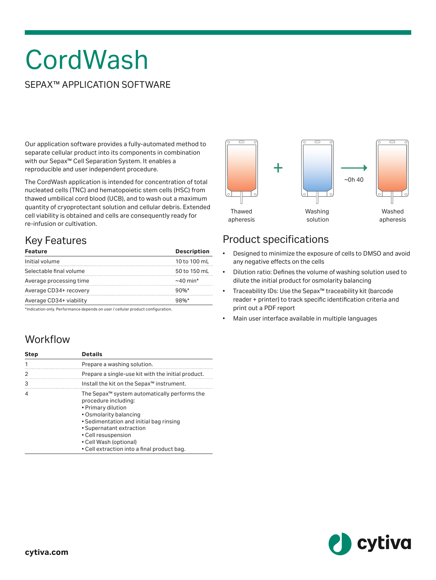# **CordWash**

### SEPAX™ APPLICATION SOFTWARE

Our application software provides a fully-automated method to separate cellular product into its components in combination with our Sepax™ Cell Separation System. It enables a reproducible and user independent procedure.

The CordWash application is intended for concentration of total nucleated cells (TNC) and hematopoietic stem cells (HSC) from thawed umbilical cord blood (UCB), and to wash out a maximum quantity of cryoprotectant solution and cellular debris. Extended cell viability is obtained and cells are consequently ready for re-infusion or cultivation.

# Key Features

| <b>Feature</b>          | <b>Description</b> |
|-------------------------|--------------------|
| Initial volume          | 10 to 100 mL       |
| Selectable final volume | 50 to 150 mL       |
| Average processing time | $\sim$ 40 min*     |
| Average CD34+ recovery  | $90%$ *            |
| Average CD34+ viability | 98%                |

\*Indication only. Performance depends on user / cellular product configuration.

### **Workflow**

| <b>Step</b> | <b>Details</b>                                                                                                                                                                                                                                                                                          |
|-------------|---------------------------------------------------------------------------------------------------------------------------------------------------------------------------------------------------------------------------------------------------------------------------------------------------------|
| 1           | Prepare a washing solution.                                                                                                                                                                                                                                                                             |
| 2           | Prepare a single-use kit with the initial product.                                                                                                                                                                                                                                                      |
| 3           | Install the kit on the Sepax <sup>™</sup> instrument.                                                                                                                                                                                                                                                   |
| 4           | The Sepax <sup>™</sup> system automatically performs the<br>procedure including:<br>• Primary dilution<br>• Osmolarity balancing<br>• Sedimentation and initial bag rinsing<br>• Supernatant extraction<br>• Cell resuspension<br>• Cell Wash (optional)<br>• Cell extraction into a final product bag. |



### Product specifications

- Designed to minimize the exposure of cells to DMSO and avoid any negative effects on the cells
- Dilution ratio: Defines the volume of washing solution used to dilute the initial product for osmolarity balancing
- Traceability IDs: Use the Sepax™ traceability kit (barcode reader + printer) to track specific identification criteria and print out a PDF report
- Main user interface available in multiple languages

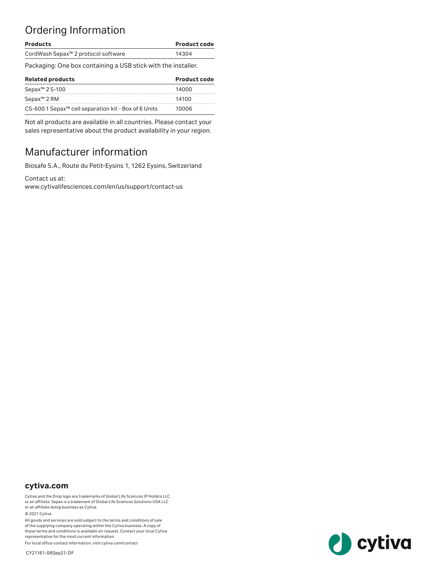# Ordering Information

| <b>Products</b>                                                  | <b>Product code</b> |
|------------------------------------------------------------------|---------------------|
| CordWash Sepax <sup>™</sup> 2 protocol software                  | 14304               |
| Packaging: One box containing a USB stick with the installer.    |                     |
| <b>Related products</b>                                          | <b>Product code</b> |
| Sepax <sup>™</sup> 2 S-100                                       | 14000               |
| Sepax <sup>™</sup> 2 RM                                          | 14100               |
| CS-600.1 Sepax <sup>™</sup> cell separation kit - Box of 6 Units | 10006               |

Not all products are available in all countries. Please contact your sales representative about the product availability in your region.

## Manufacturer information

Biosafe S.A., Route du Petit-Eysins 1, 1262 Eysins, Switzerland

Contact us at:

[www.cytivalifesciences.com/en/us/support/contact-us](https://www.cytivalifesciences.com/en/us/support/contact-us)

#### **[cytiva.com](http://cytiva.com)**

Cytiva and the Drop logo are trademarks of Global Life Sciences IP Holdco LLC or an affiliate. Sepax is a trademark of Global Life Sciences Solutions USA LLC or an affiliate doing business as Cytiva.

© 2021 Cytiva

All goods and services are sold subject to the terms and conditions of sale of the supplying company operating within the Cytiva business. A copy of those terms and conditions is available on request. Contact your local Cytiva representative for the most current information.

For local office contact information, visit [cytiva.com/contact](http://cytiva.com/contact)

CY21161-08Sep21-DF

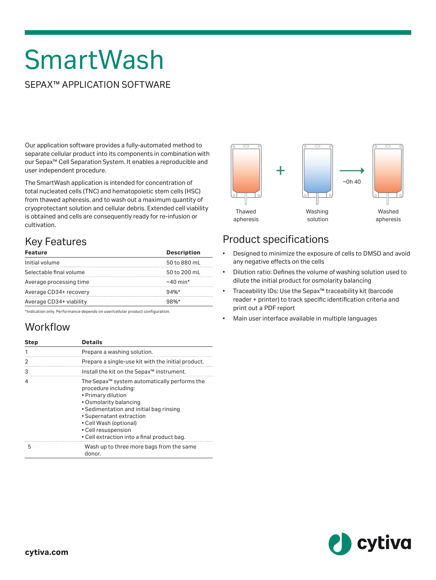# SmartWash

### SEPAX™ APPLICATION SOFTWARE

Our application software provides a fully-automated method to separate cellular product into its components in combination with our Sepax™ Cell Separation System. It enables a reproducible and user independent procedure.

The SmartWash application is intended for concentration of total nucleated cells (TNC) and hematopoietic stem cells (HSC) from thawed apheresis, and to wash out a maximum quantity of cryoprotectant solution and cellular debris. Extended cell viability is obtained and cells are consequently ready for re-infusion or cultivation.

## Key Features

| <b>Description</b> |
|--------------------|
| 50 to 880 mL       |
| 50 to 200 mL       |
| $\sim$ 40 min*     |
| $94%$ *            |
| $98\%$             |
|                    |

\*Indication only. Performance depends on user/cellular product configuration.

### **Workflow**

| <b>Step</b> | <b>Details</b>                                                                                                                                                                                                                                                                                          |
|-------------|---------------------------------------------------------------------------------------------------------------------------------------------------------------------------------------------------------------------------------------------------------------------------------------------------------|
|             | Prepare a washing solution.                                                                                                                                                                                                                                                                             |
| 2           | Prepare a single-use kit with the initial product.                                                                                                                                                                                                                                                      |
| 3           | Install the kit on the Sepax <sup>™</sup> instrument.                                                                                                                                                                                                                                                   |
| 4           | The Sepax <sup>™</sup> system automatically performs the<br>procedure including:<br>• Primary dilution<br>• Osmolarity balancing<br>• Sedimentation and initial bag rinsing<br>• Supernatant extraction<br>• Cell Wash (optional)<br>• Cell resuspension<br>• Cell extraction into a final product bag. |
| 5           | Wash up to three more bags from the same<br>donor.                                                                                                                                                                                                                                                      |



### Product specifications

- Designed to minimize the exposure of cells to DMSO and avoid any negative effects on the cells
- Dilution ratio: Defines the volume of washing solution used to dilute the initial product for osmolarity balancing
- Traceability IDs: Use the Sepax™ traceability kit (barcode reader + printer) to track specific identification criteria and print out a PDF report
- Main user interface available in multiple languages